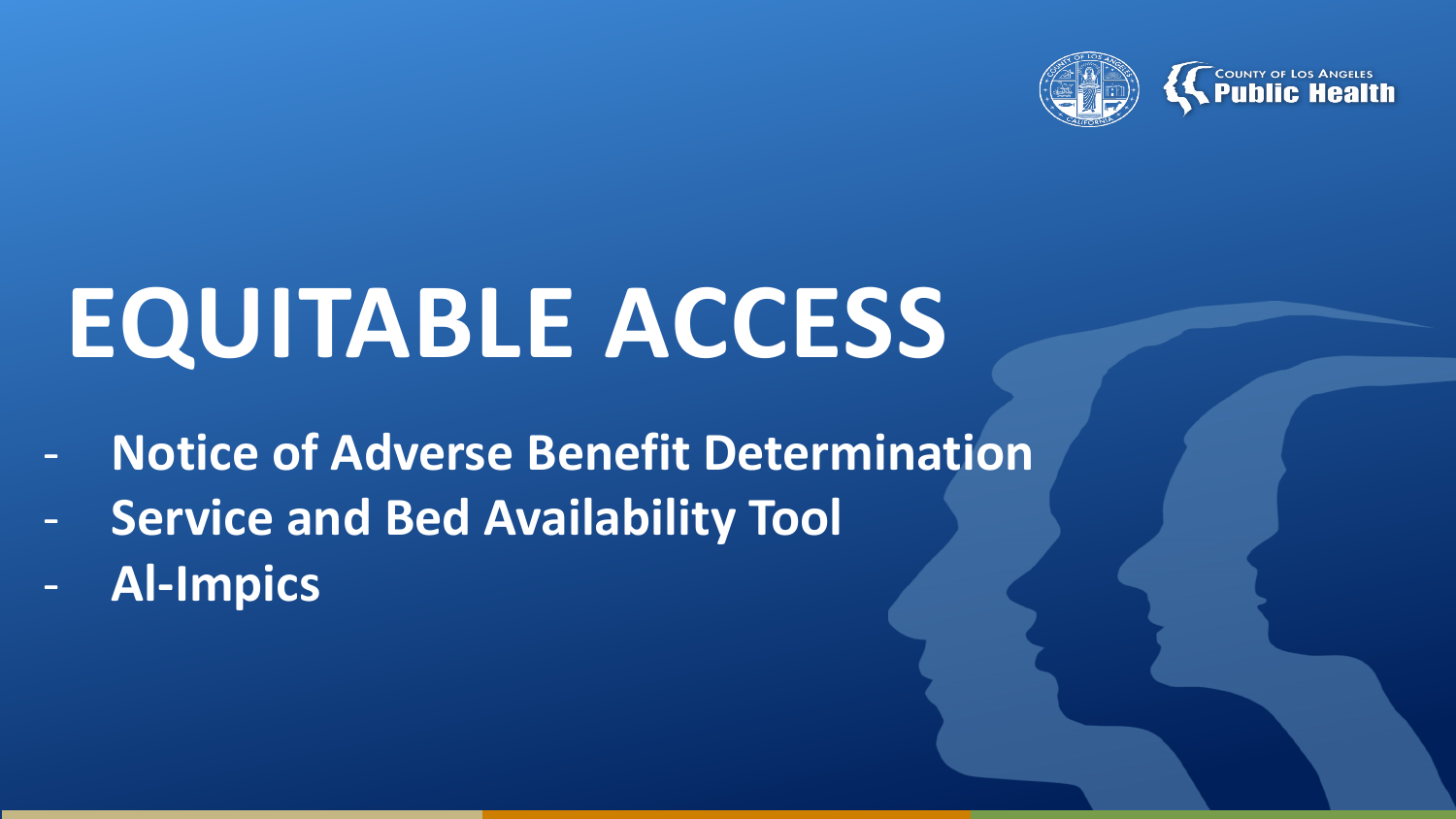



# **EQUITABLE ACCESS**

- **Notice of Adverse Benefit Determination**
- **Service and Bed Availability Tool**
- **Al-Impics**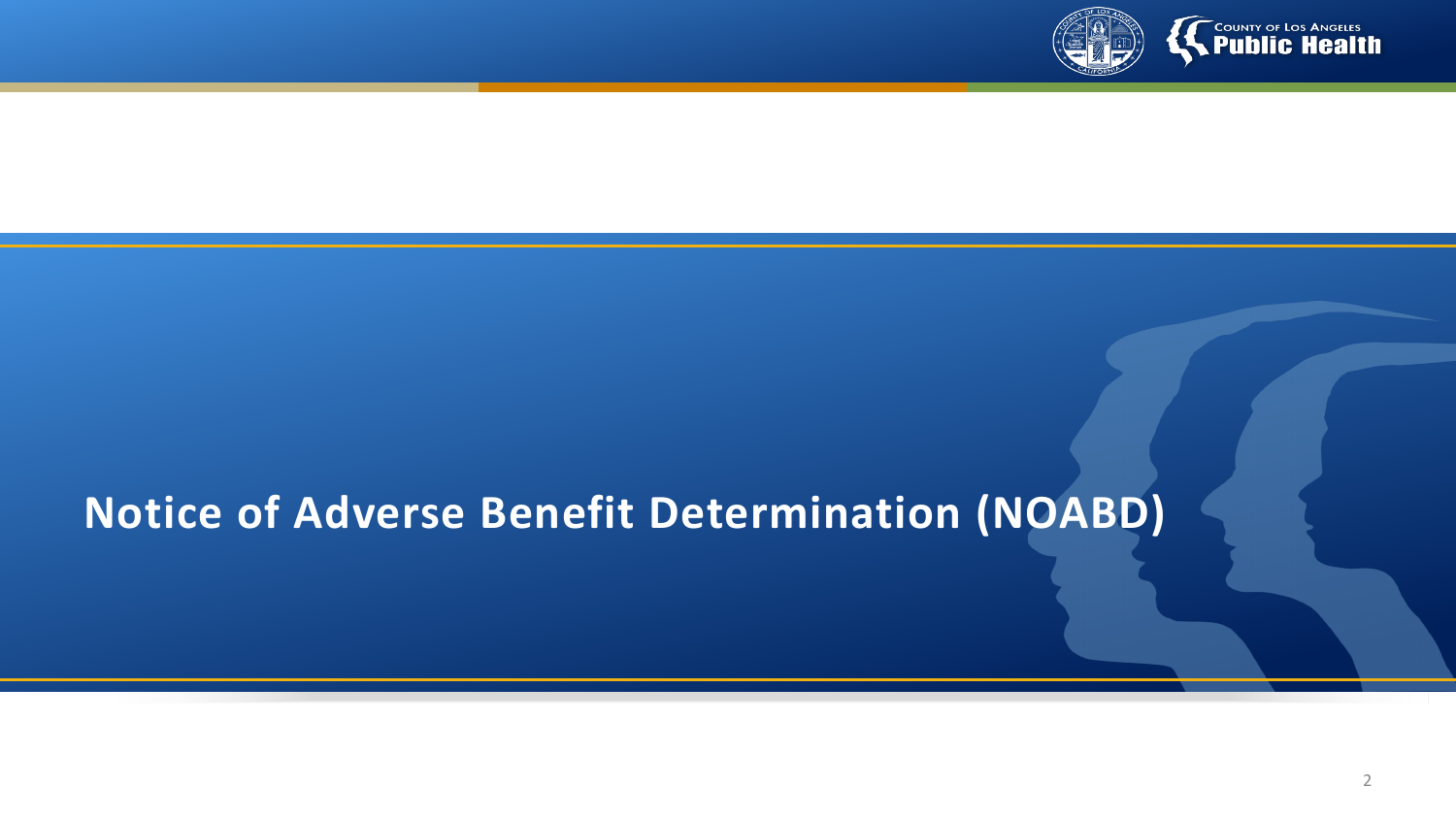

# **Notice of Adverse Benefit Determination (NOABD)**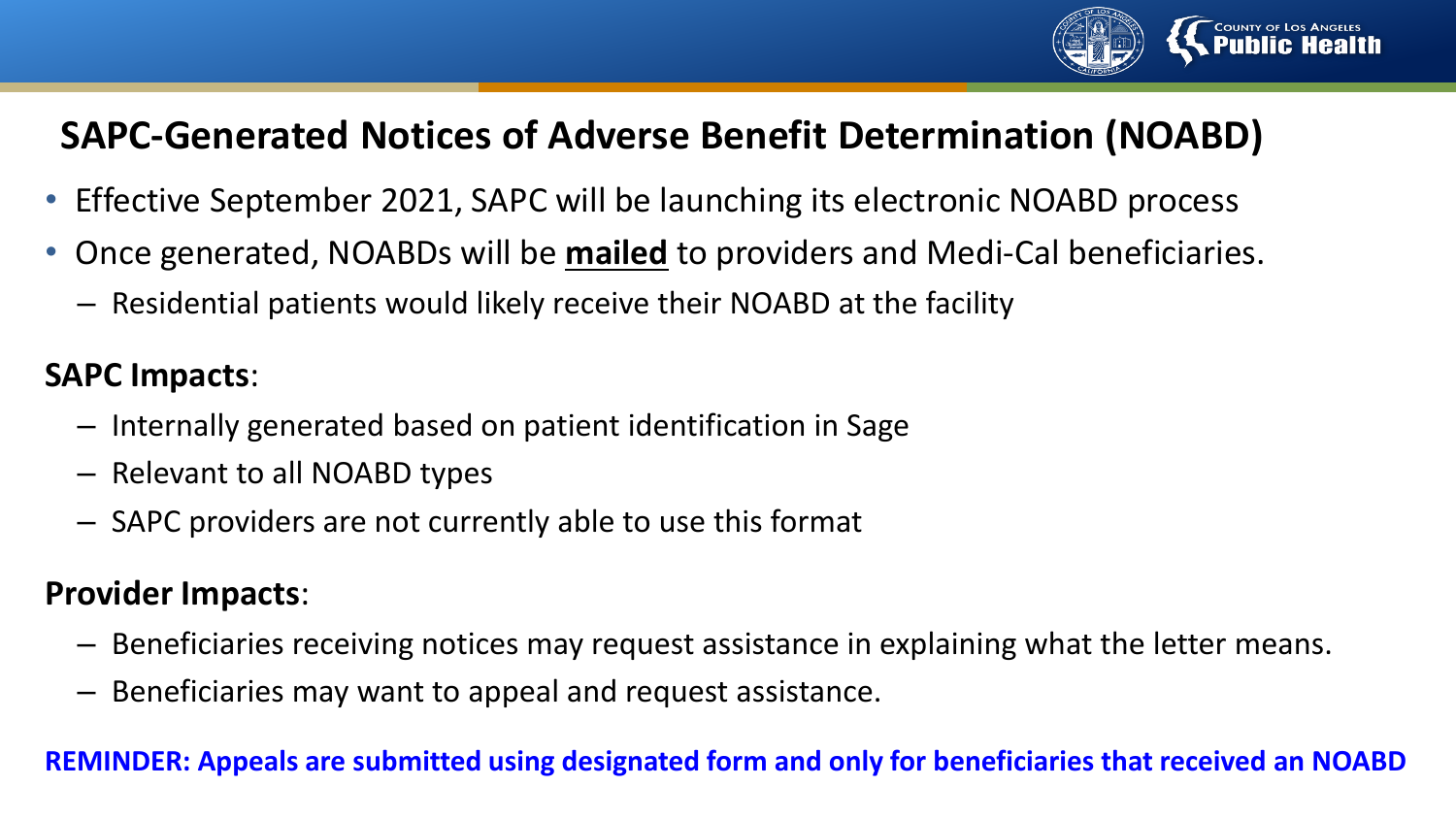

## **SAPC-Generated Notices of Adverse Benefit Determination (NOABD)**

- Effective September 2021, SAPC will be launching its electronic NOABD process
- Once generated, NOABDs will be **mailed** to providers and Medi-Cal beneficiaries.
	- Residential patients would likely receive their NOABD at the facility

### **SAPC Impacts**:

- Internally generated based on patient identification in Sage
- Relevant to all NOABD types
- SAPC providers are not currently able to use this format

### **Provider Impacts**:

- Beneficiaries receiving notices may request assistance in explaining what the letter means.
- Beneficiaries may want to appeal and request assistance.

#### **REMINDER: Appeals are submitted using designated form and only for beneficiaries that received an NOABD**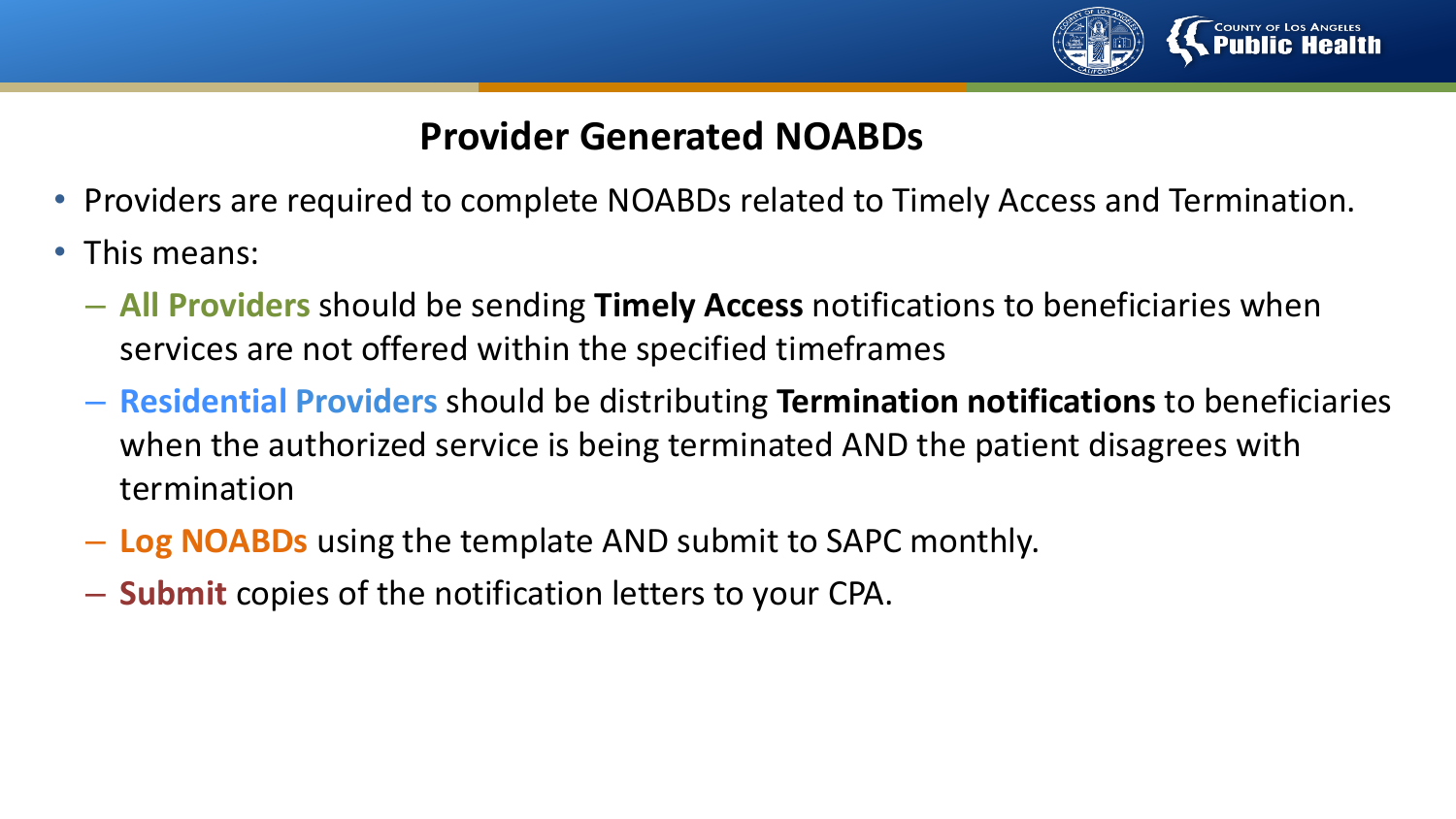

### **Provider Generated NOABDs**

- Providers are required to complete NOABDs related to Timely Access and Termination.
- This means:
	- **All Providers** should be sending **Timely Access** notifications to beneficiaries when services are not offered within the specified timeframes
	- **Residential Providers** should be distributing **Termination notifications** to beneficiaries when the authorized service is being terminated AND the patient disagrees with termination
	- **Log NOABDs** using the template AND submit to SAPC monthly.
	- **Submit** copies of the notification letters to your CPA.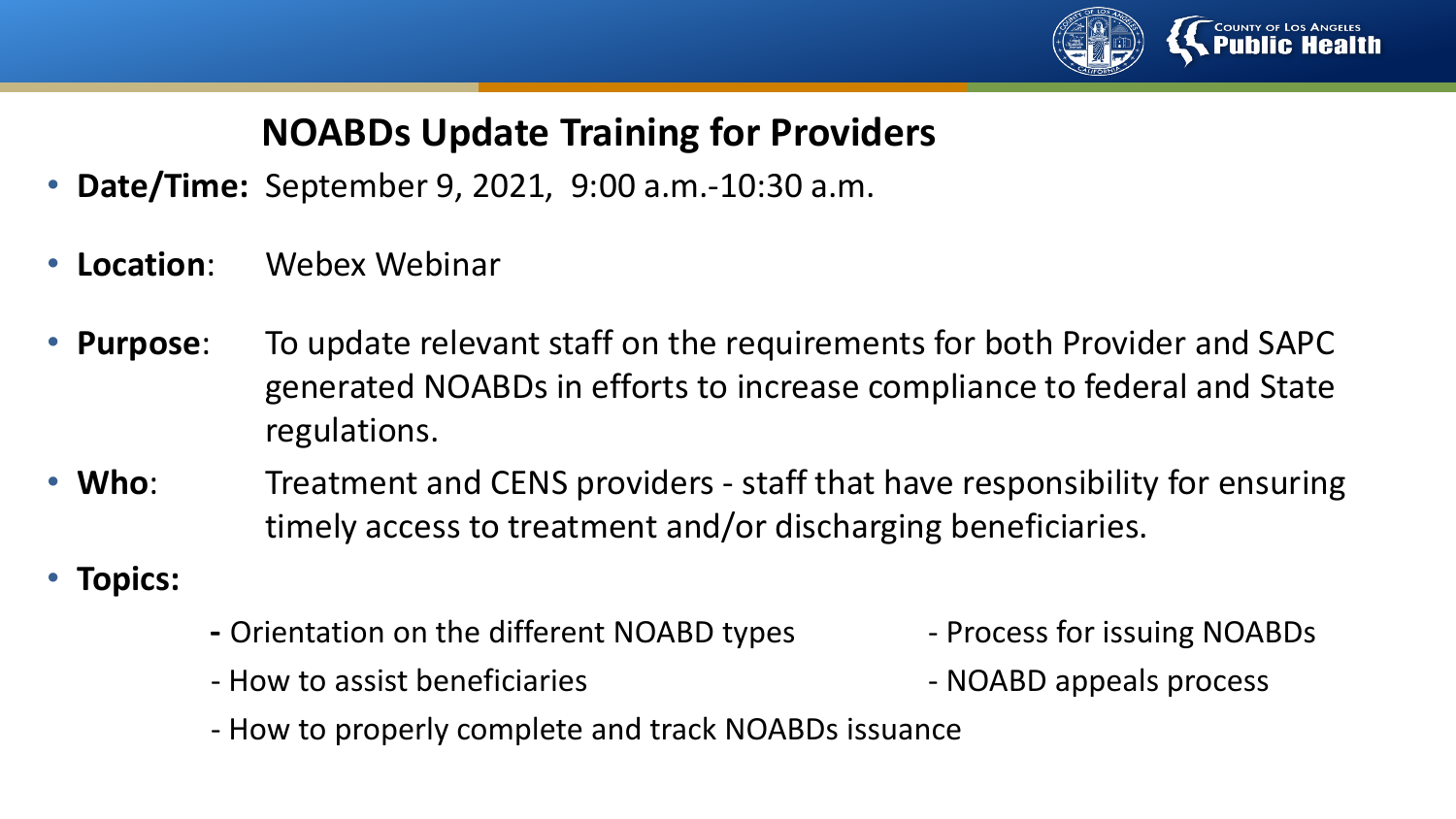

# **NOABDs Update Training for Providers**

- **Date/Time:** September 9, 2021, 9:00 a.m.-10:30 a.m.
- **Location**: Webex Webinar
- **Purpose**: To update relevant staff on the requirements for both Provider and SAPC generated NOABDs in efforts to increase compliance to federal and State regulations.
- **Who**: Treatment and CENS providers staff that have responsibility for ensuring timely access to treatment and/or discharging beneficiaries.
- **Topics:**
- **-** Orientation on the different NOABD types Process for issuing NOABDs
- How to assist beneficiaries  $\overline{\phantom{a}}$  NOABD appeals process
- How to properly complete and track NOABDs issuance
- 
-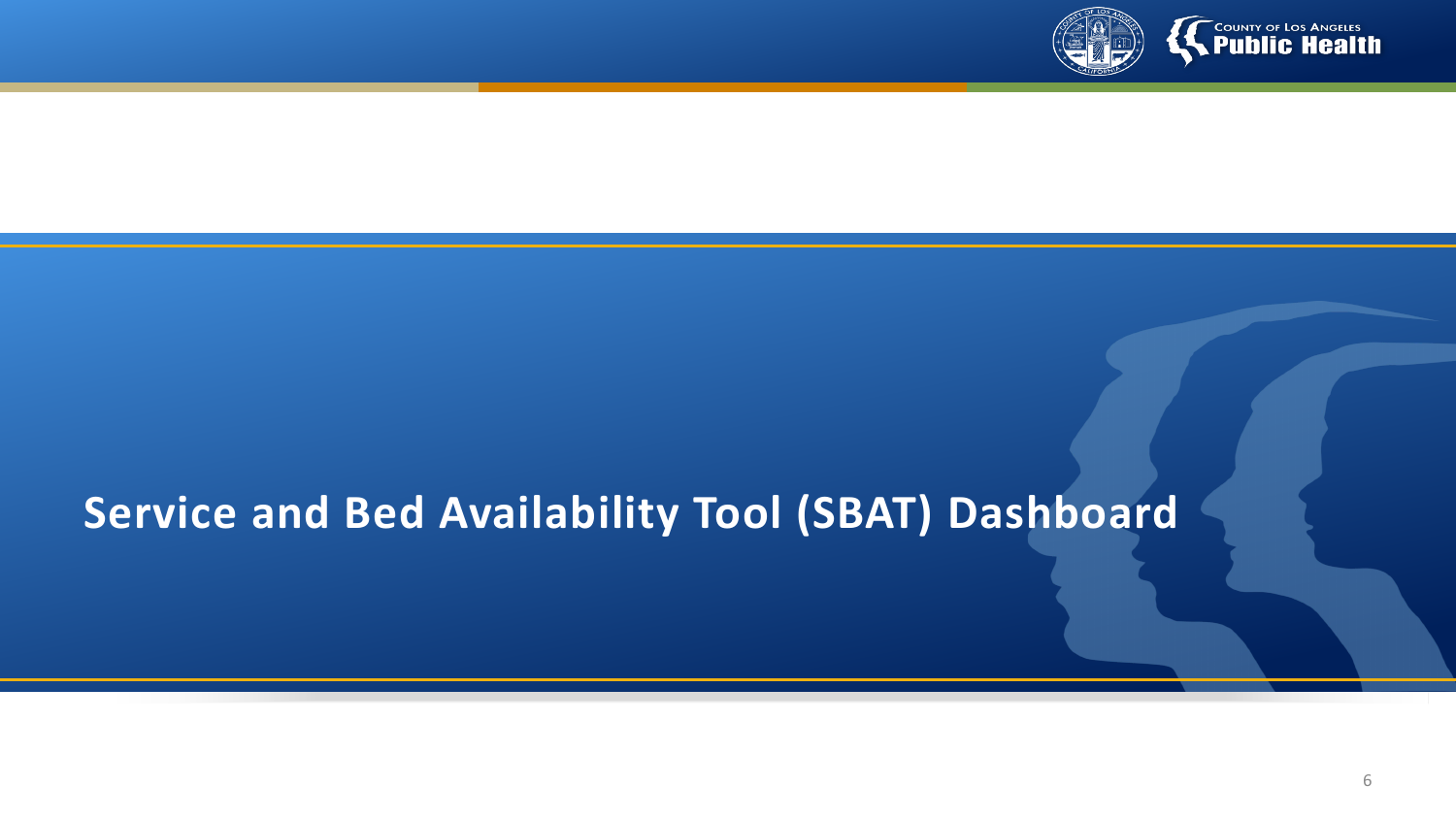

# **Service and Bed Availability Tool (SBAT) Dashboard**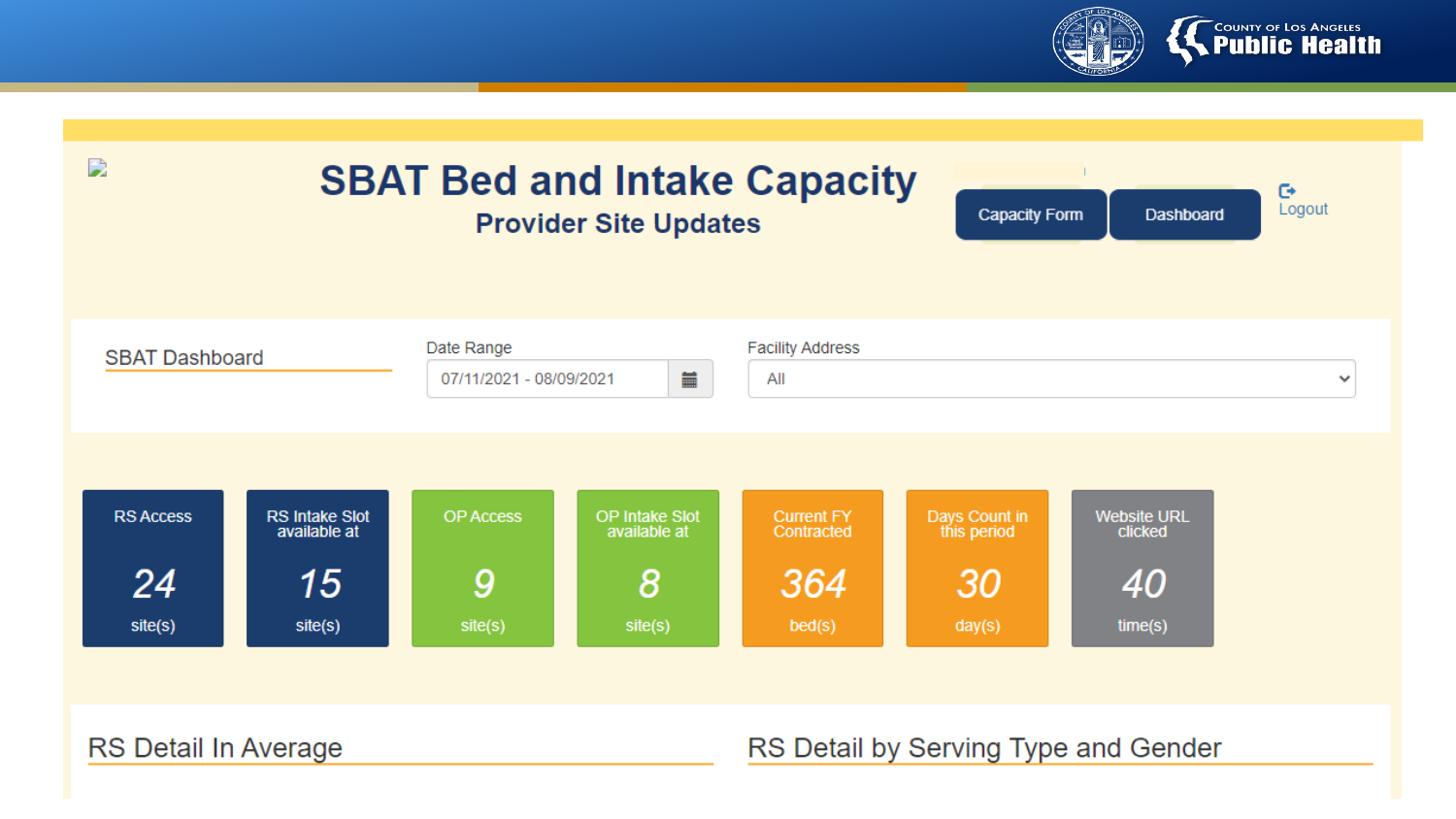

| D<br><b>SBAT Bed and Intake Capacity</b><br>$\mathbb{C}^*$<br>Logout<br><b>Capacity Form</b><br><b>Dashboard</b><br><b>Provider Site Updates</b> |                                       |                                              |                                       |                                                |                              |                               |  |
|--------------------------------------------------------------------------------------------------------------------------------------------------|---------------------------------------|----------------------------------------------|---------------------------------------|------------------------------------------------|------------------------------|-------------------------------|--|
| <b>SBAT Dashboard</b>                                                                                                                            |                                       | Date Range<br>iii<br>07/11/2021 - 08/09/2021 |                                       | <b>Facility Address</b><br>All<br>$\checkmark$ |                              |                               |  |
| <b>RS Access</b>                                                                                                                                 | <b>RS Intake Slot</b><br>available at | <b>OP Access</b>                             | <b>OP Intake Slot</b><br>available at | <b>Current FY</b><br>Contracted                | Days Count in<br>this period | <b>Website URL</b><br>clicked |  |
| 24<br>site(s)                                                                                                                                    | 15<br>site(s)                         | 9<br>site(s)                                 | $\boldsymbol{8}$<br>site(s)           | 364<br>bed(s)                                  | 30<br>day(s)                 | 40<br>time(s)                 |  |

RS Detail In Average

#### RS Detail by Serving Type and Gender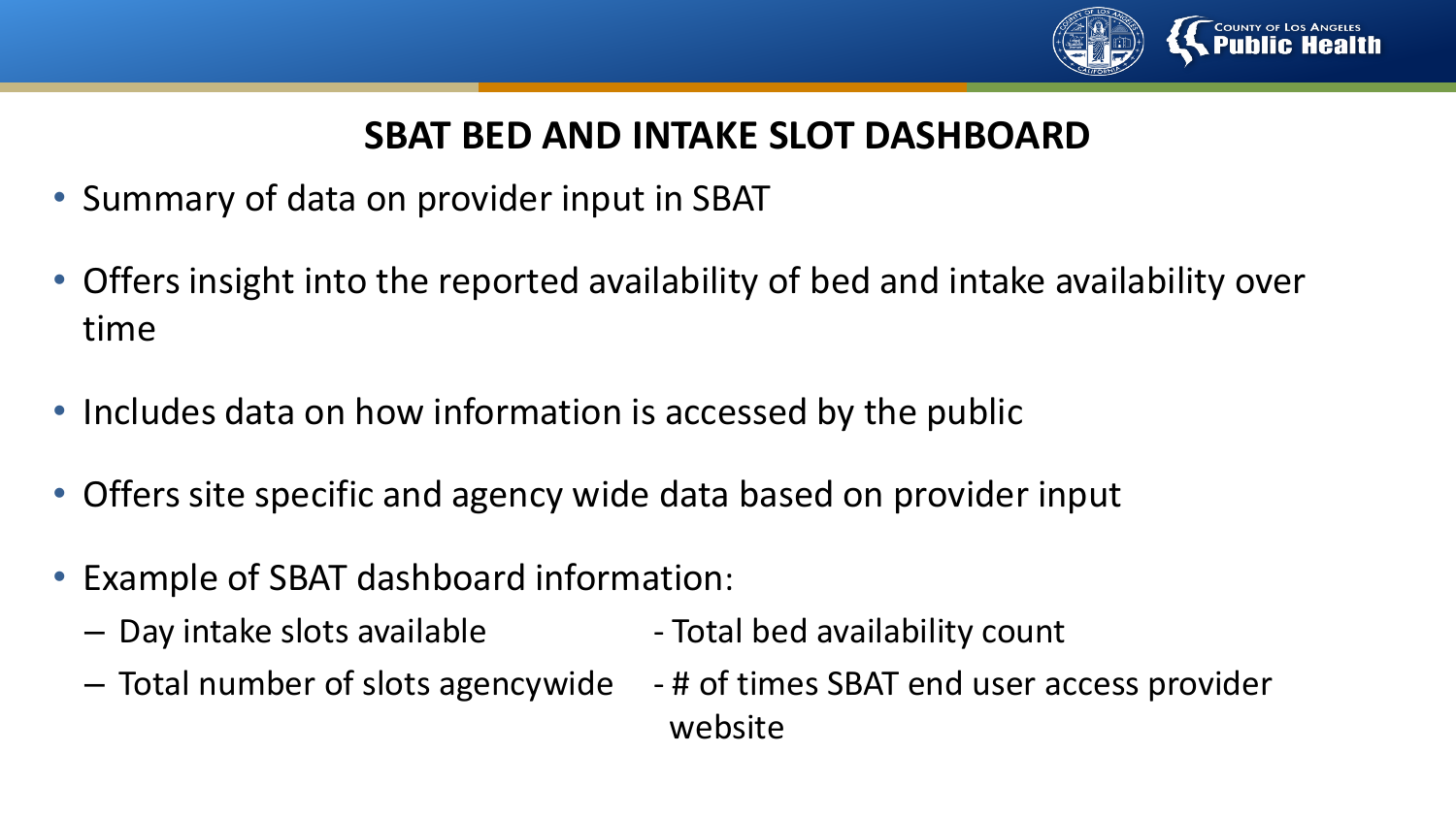

### **SBAT BED AND INTAKE SLOT DASHBOARD**

- Summary of data on provider input in SBAT
- Offers insight into the reported availability of bed and intake availability over time
- Includes data on how information is accessed by the public
- Offers site specific and agency wide data based on provider input
- Example of SBAT dashboard information:
	- Day intake slots available  $-$  Total bed availability count
- - Total number of slots agencywide # of times SBAT end user access provider website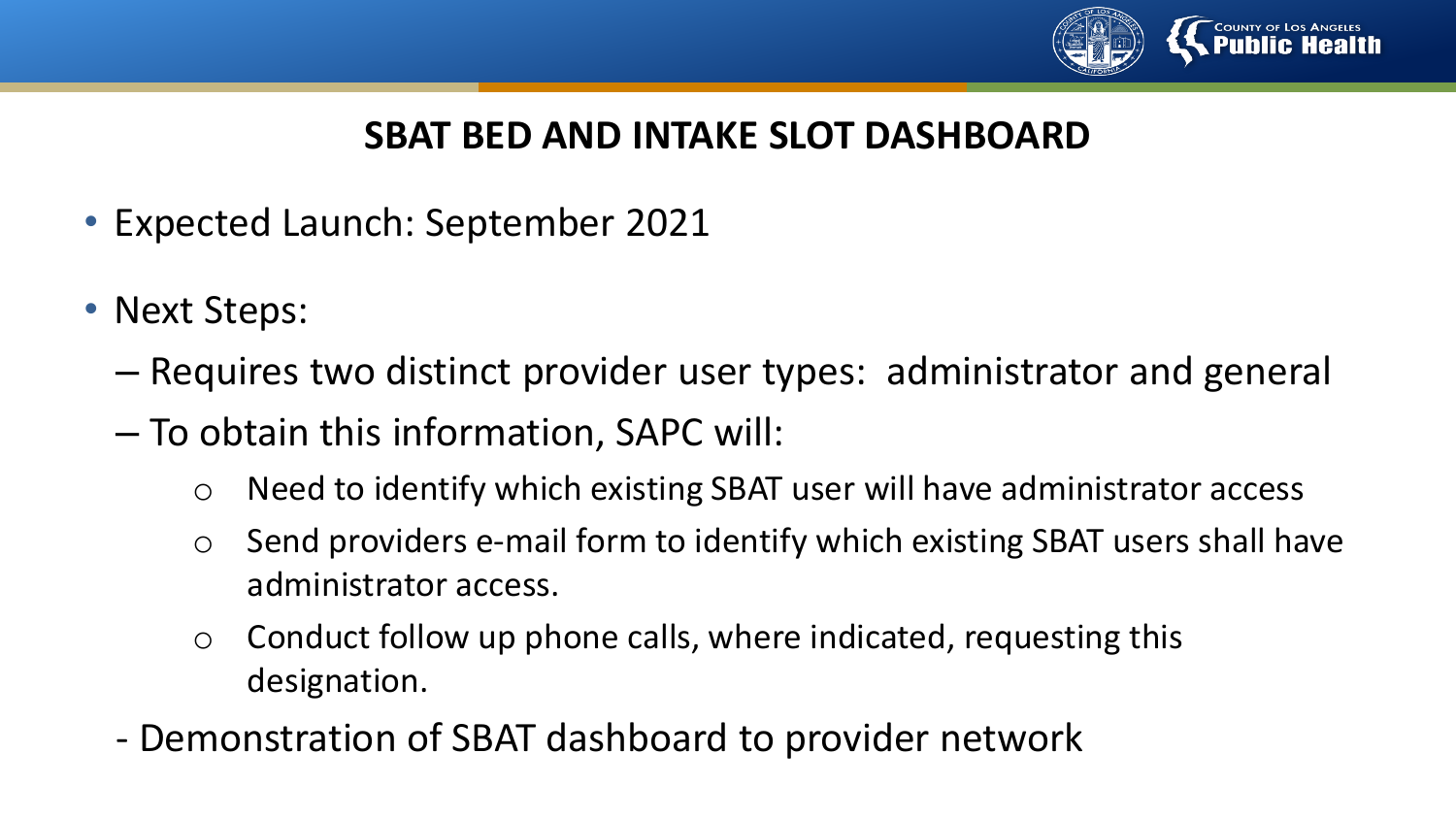

### **SBAT BED AND INTAKE SLOT DASHBOARD**

- Expected Launch: September 2021
- Next Steps:
	- Requires two distinct provider user types: administrator and general
	- To obtain this information, SAPC will:
		- o Need to identify which existing SBAT user will have administrator access
		- o Send providers e-mail form to identify which existing SBAT users shall have administrator access.
		- $\circ$  Conduct follow up phone calls, where indicated, requesting this designation.
	- Demonstration of SBAT dashboard to provider network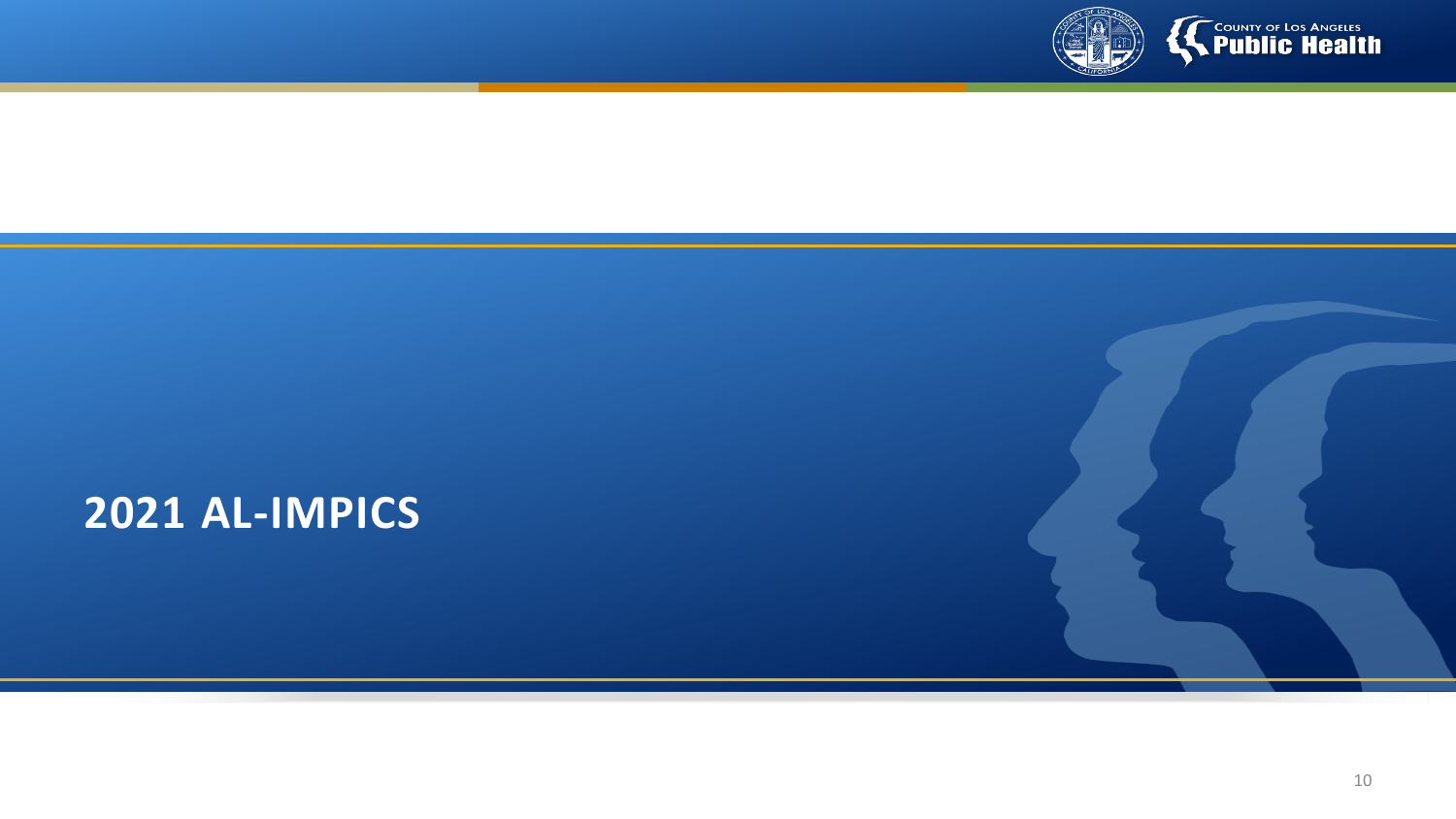

# **COUNTY OF LOS ANGELES**

# **2021 AL-IMPICS**